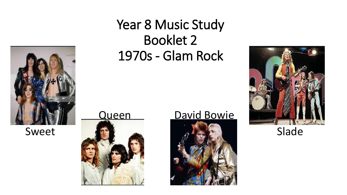

### Year 8 Music Study Booklet 2 1970s - Glam Rock





#### Queen David Bowie



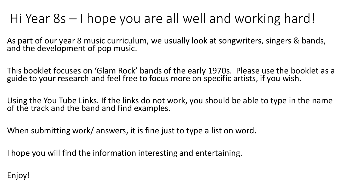## Hi Year 8s – I hope you are all well and working hard!

As part of our year 8 music curriculum, we usually look at songwriters, singers & bands, and the development of pop music.

This booklet focuses on 'Glam Rock' bands of the early 1970s. Please use the booklet as a guide to your research and feel free to focus more on specific artists, if you wish.

Using the You Tube Links. If the links do not work, you should be able to type in the name of the track and the band and find examples.

When submitting work/ answers, it is fine just to type a list on word.

I hope you will find the information interesting and entertaining.

Enjoy!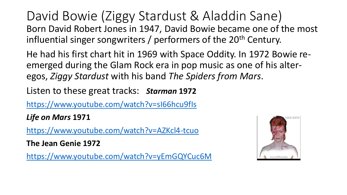David Bowie (Ziggy Stardust & Aladdin Sane) Born David Robert Jones in 1947, David Bowie became one of the most influential singer songwriters / performers of the 20<sup>th</sup> Century.

He had his first chart hit in 1969 with Space Oddity. In 1972 Bowie reemerged during the Glam Rock era in pop music as one of his alteregos, *Ziggy Stardust* with his band *The Spiders from Mars*.

Listen to these great tracks: *Starman* **1972**

[https://www.youtube.com/watch?v=sI66hcu9fIs](about:blank)

*Life on Mars* **1971**

[https://www.youtube.com/watch?v=AZKcl4-tcuo](about:blank)

**The Jean Genie 1972**

[https://www.youtube.com/watch?v=yEmGQYCuc6M](about:blank)

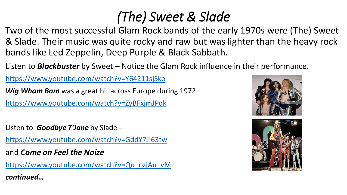# *(The) Sweet & Slade*

Two of the most successful Glam Rock bands of the early 1970s were (The) Sweet & Slade. Their music was quite rocky and raw but was lighter than the heavy rock bands like Led Zeppelin, Deep Purple & Black Sabbath.

Listen to *Blockbuster* by Sweet – Notice the Glam Rock influence in their performance.

[https://www.youtube.com/watch?v=Y64211sjSko](about:blank)

*Wig Wham Bam* was a great hit across Europe during 1972

[https://www.youtube.com/watch?v=ZyBFxjmJPqk](about:blank)

Listen to *Goodbye T'Jane* by Slade -

[https://www.youtube.com/watch?v=GddY7Jj63tw](about:blank)

and *Come on Feel the Noize*

[https://www.youtube.com/watch?v=Qu\\_ozjAu\\_vM](about:blank) *continued…*



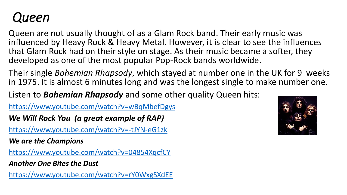#### *Queen*

Queen are not usually thought of as a Glam Rock band. Their early music was influenced by Heavy Rock & Heavy Metal. However, it is clear to see the influences that Glam Rock had on their style on stage. As their music became a softer, they developed as one of the most popular Pop-Rock bands worldwide.

Their single *Bohemian Rhapsody*, which stayed at number one in the UK for 9 weeks in 1975. It is almost 6 minutes long and was the longest single to make number one.

Listen to *Bohemian Rhapsody* and some other quality Queen hits:

[https://www.youtube.com/watch?v=wBqMbefDgys](about:blank)

*We Will Rock You (a great example of RAP)*

[https://www.youtube.com/watch?v=-tJYN-eG1zk](about:blank)

*We are the Champions*

[https://www.youtube.com/watch?v=04854XqcfCY](about:blank)

*Another One Bites the Dust*

[https://www.youtube.com/watch?v=rY0WxgSXdEE](about:blank)